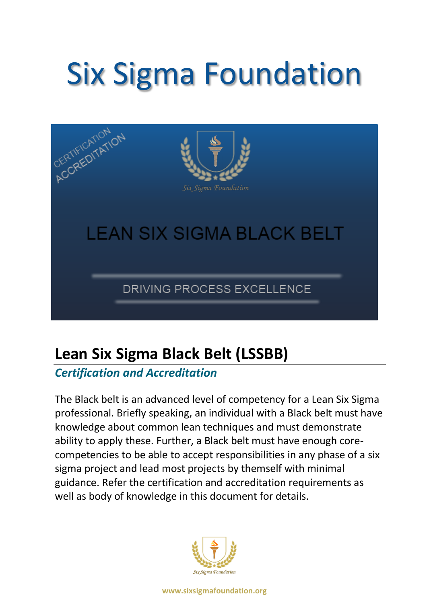# Six Sigma Foundation



# **Lean Six Sigma Black Belt (LSSBB)**

### *Certification and Accreditation*

The Black belt is an advanced level of competency for a Lean Six Sigma professional. Briefly speaking, an individual with a Black belt must have knowledge about common lean techniques and must demonstrate ability to apply these. Further, a Black belt must have enough corecompetencies to be able to accept responsibilities in any phase of a six sigma project and lead most projects by themself with minimal guidance. Refer the certification and accreditation requirements as well as body of knowledge in this document for details.



**www.sixsigmafoundation.org**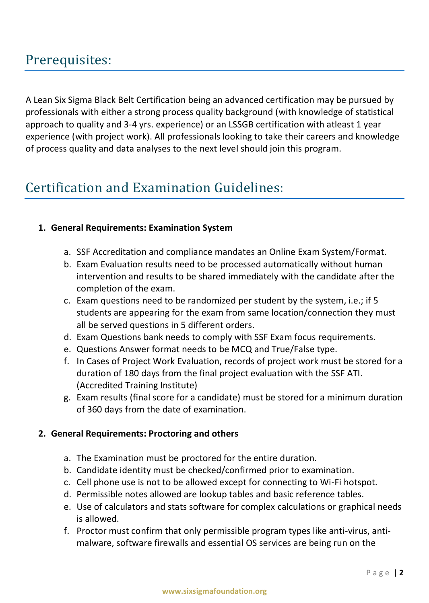## Prerequisites:

A Lean Six Sigma Black Belt Certification being an advanced certification may be pursued by professionals with either a strong process quality background (with knowledge of statistical approach to quality and 3-4 yrs. experience) or an LSSGB certification with atleast 1 year experience (with project work). All professionals looking to take their careers and knowledge of process quality and data analyses to the next level should join this program.

## Certification and Examination Guidelines:

#### **1. General Requirements: Examination System**

- a. SSF Accreditation and compliance mandates an Online Exam System/Format.
- b. Exam Evaluation results need to be processed automatically without human intervention and results to be shared immediately with the candidate after the completion of the exam.
- c. Exam questions need to be randomized per student by the system, i.e.; if 5 students are appearing for the exam from same location/connection they must all be served questions in 5 different orders.
- d. Exam Questions bank needs to comply with SSF Exam focus requirements.
- e. Questions Answer format needs to be MCQ and True/False type.
- f. In Cases of Project Work Evaluation, records of project work must be stored for a duration of 180 days from the final project evaluation with the SSF ATI. (Accredited Training Institute)
- g. Exam results (final score for a candidate) must be stored for a minimum duration of 360 days from the date of examination.

#### **2. General Requirements: Proctoring and others**

- a. The Examination must be proctored for the entire duration.
- b. Candidate identity must be checked/confirmed prior to examination.
- c. Cell phone use is not to be allowed except for connecting to Wi-Fi hotspot.
- d. Permissible notes allowed are lookup tables and basic reference tables.
- e. Use of calculators and stats software for complex calculations or graphical needs is allowed.
- f. Proctor must confirm that only permissible program types like anti-virus, antimalware, software firewalls and essential OS services are being run on the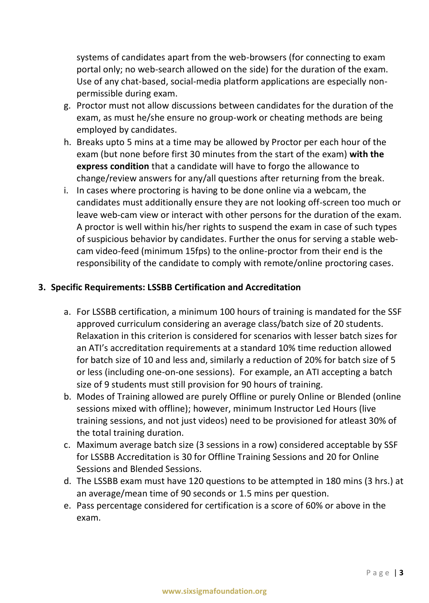systems of candidates apart from the web-browsers (for connecting to exam portal only; no web-search allowed on the side) for the duration of the exam. Use of any chat-based, social-media platform applications are especially nonpermissible during exam.

- g. Proctor must not allow discussions between candidates for the duration of the exam, as must he/she ensure no group-work or cheating methods are being employed by candidates.
- h. Breaks upto 5 mins at a time may be allowed by Proctor per each hour of the exam (but none before first 30 minutes from the start of the exam) **with the express condition** that a candidate will have to forgo the allowance to change/review answers for any/all questions after returning from the break.
- i. In cases where proctoring is having to be done online via a webcam, the candidates must additionally ensure they are not looking off-screen too much or leave web-cam view or interact with other persons for the duration of the exam. A proctor is well within his/her rights to suspend the exam in case of such types of suspicious behavior by candidates. Further the onus for serving a stable webcam video-feed (minimum 15fps) to the online-proctor from their end is the responsibility of the candidate to comply with remote/online proctoring cases.

#### **3. Specific Requirements: LSSBB Certification and Accreditation**

- a. For LSSBB certification, a minimum 100 hours of training is mandated for the SSF approved curriculum considering an average class/batch size of 20 students. Relaxation in this criterion is considered for scenarios with lesser batch sizes for an ATI's accreditation requirements at a standard 10% time reduction allowed for batch size of 10 and less and, similarly a reduction of 20% for batch size of 5 or less (including one-on-one sessions). For example, an ATI accepting a batch size of 9 students must still provision for 90 hours of training.
- b. Modes of Training allowed are purely Offline or purely Online or Blended (online sessions mixed with offline); however, minimum Instructor Led Hours (live training sessions, and not just videos) need to be provisioned for atleast 30% of the total training duration.
- c. Maximum average batch size (3 sessions in a row) considered acceptable by SSF for LSSBB Accreditation is 30 for Offline Training Sessions and 20 for Online Sessions and Blended Sessions.
- d. The LSSBB exam must have 120 questions to be attempted in 180 mins (3 hrs.) at an average/mean time of 90 seconds or 1.5 mins per question.
- e. Pass percentage considered for certification is a score of 60% or above in the exam.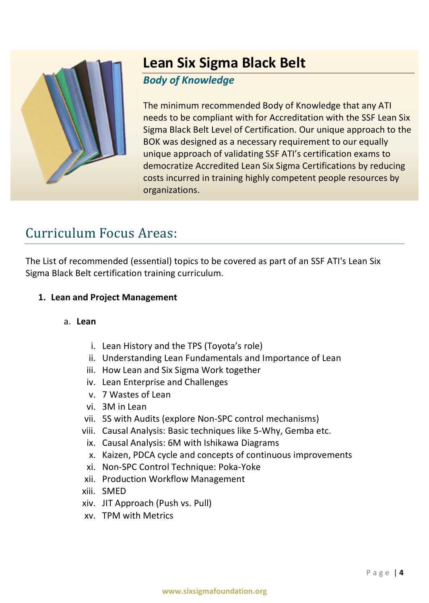

## **Lean Six Sigma Black Belt**

#### *Body of Knowledge*

The minimum recommended Body of Knowledge that any ATI needs to be compliant with for Accreditation with the SSF Lean Six Sigma Black Belt Level of Certification. Our unique approach to the BOK was designed as a necessary requirement to our equally unique approach of validating SSF ATI's certification exams to democratize Accredited Lean Six Sigma Certifications by reducing costs incurred in training highly competent people resources by organizations.

## Curriculum Focus Areas:

The List of recommended (essential) topics to be covered as part of an SSF ATI's Lean Six Sigma Black Belt certification training curriculum.

#### **1. Lean and Project Management**

#### a. **Lean**

- i. Lean History and the TPS (Toyota's role)
- ii. Understanding Lean Fundamentals and Importance of Lean
- iii. How Lean and Six Sigma Work together
- iv. Lean Enterprise and Challenges
- v. 7 Wastes of Lean
- vi. 3M in Lean
- vii. 5S with Audits (explore Non-SPC control mechanisms)
- viii. Causal Analysis: Basic techniques like 5-Why, Gemba etc.
	- ix. Causal Analysis: 6M with Ishikawa Diagrams
	- x. Kaizen, PDCA cycle and concepts of continuous improvements
- xi. Non-SPC Control Technique: Poka-Yoke
- xii. Production Workflow Management
- xiii. SMED
- xiv. JIT Approach (Push vs. Pull)
- xv. TPM with Metrics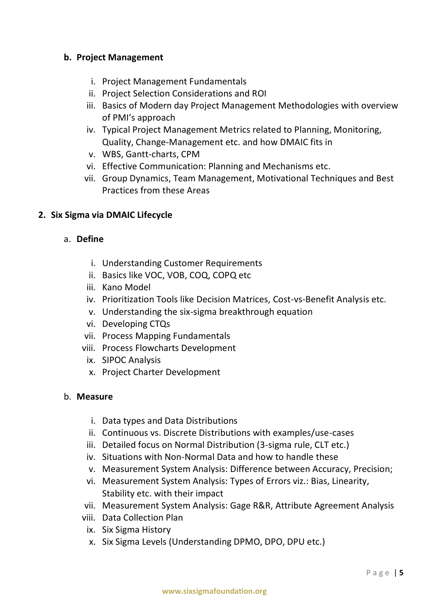#### **b. Project Management**

- i. Project Management Fundamentals
- ii. Project Selection Considerations and ROI
- iii. Basics of Modern day Project Management Methodologies with overview of PMI's approach
- iv. Typical Project Management Metrics related to Planning, Monitoring, Quality, Change-Management etc. and how DMAIC fits in
- v. WBS, Gantt-charts, CPM
- vi. Effective Communication: Planning and Mechanisms etc.
- vii. Group Dynamics, Team Management, Motivational Techniques and Best Practices from these Areas

#### **2. Six Sigma via DMAIC Lifecycle**

#### a. **Define**

- i. Understanding Customer Requirements
- ii. Basics like VOC, VOB, COQ, COPQ etc
- iii. Kano Model
- iv. Prioritization Tools like Decision Matrices, Cost-vs-Benefit Analysis etc.
- v. Understanding the six-sigma breakthrough equation
- vi. Developing CTQs
- vii. Process Mapping Fundamentals
- viii. Process Flowcharts Development
	- ix. SIPOC Analysis
	- x. Project Charter Development

#### b. **Measure**

- i. Data types and Data Distributions
- ii. Continuous vs. Discrete Distributions with examples/use-cases
- iii. Detailed focus on Normal Distribution (3-sigma rule, CLT etc.)
- iv. Situations with Non-Normal Data and how to handle these
- v. Measurement System Analysis: Difference between Accuracy, Precision;
- vi. Measurement System Analysis: Types of Errors viz.: Bias, Linearity, Stability etc. with their impact
- vii. Measurement System Analysis: Gage R&R, Attribute Agreement Analysis
- viii. Data Collection Plan
	- ix. Six Sigma History
	- x. Six Sigma Levels (Understanding DPMO, DPO, DPU etc.)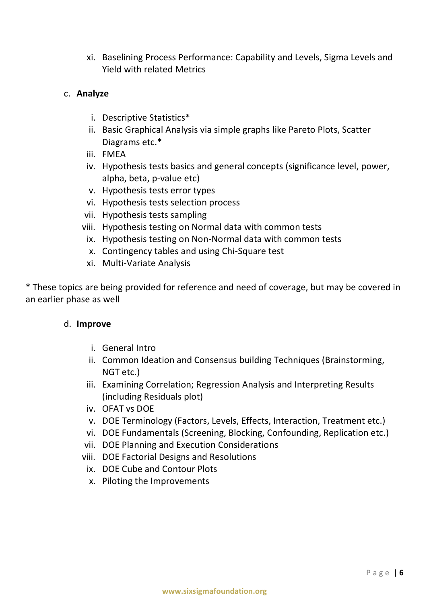xi. Baselining Process Performance: Capability and Levels, Sigma Levels and Yield with related Metrics

#### c. **Analyze**

- i. Descriptive Statistics\*
- ii. Basic Graphical Analysis via simple graphs like Pareto Plots, Scatter Diagrams etc.\*
- iii. FMEA
- iv. Hypothesis tests basics and general concepts (significance level, power, alpha, beta, p-value etc)
- v. Hypothesis tests error types
- vi. Hypothesis tests selection process
- vii. Hypothesis tests sampling
- viii. Hypothesis testing on Normal data with common tests
	- ix. Hypothesis testing on Non-Normal data with common tests
	- x. Contingency tables and using Chi-Square test
- xi. Multi-Variate Analysis

\* These topics are being provided for reference and need of coverage, but may be covered in an earlier phase as well

#### d. **Improve**

- i. General Intro
- ii. Common Ideation and Consensus building Techniques (Brainstorming, NGT etc.)
- iii. Examining Correlation; Regression Analysis and Interpreting Results (including Residuals plot)
- iv. OFAT vs DOE
- v. DOE Terminology (Factors, Levels, Effects, Interaction, Treatment etc.)
- vi. DOE Fundamentals (Screening, Blocking, Confounding, Replication etc.)
- vii. DOE Planning and Execution Considerations
- viii. DOE Factorial Designs and Resolutions
	- ix. DOE Cube and Contour Plots
	- x. Piloting the Improvements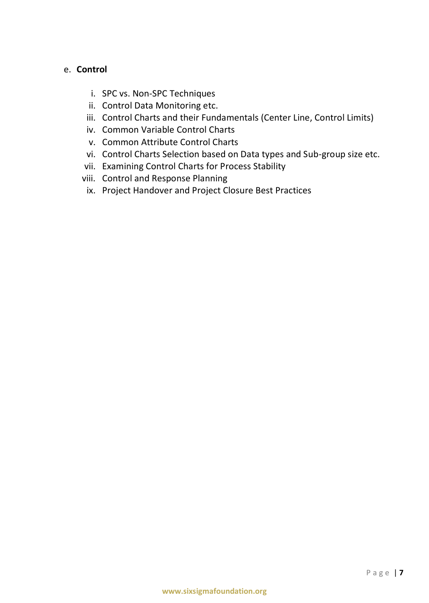#### e. **Control**

- i. SPC vs. Non-SPC Techniques
- ii. Control Data Monitoring etc.
- iii. Control Charts and their Fundamentals (Center Line, Control Limits)
- iv. Common Variable Control Charts
- v. Common Attribute Control Charts
- vi. Control Charts Selection based on Data types and Sub-group size etc.
- vii. Examining Control Charts for Process Stability
- viii. Control and Response Planning
	- ix. Project Handover and Project Closure Best Practices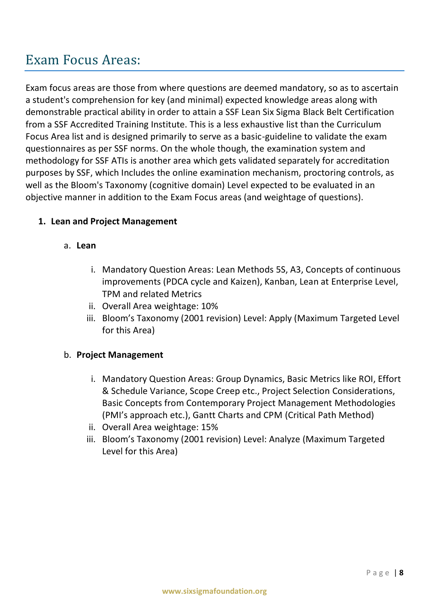## Exam Focus Areas:

Exam focus areas are those from where questions are deemed mandatory, so as to ascertain a student's comprehension for key (and minimal) expected knowledge areas along with demonstrable practical ability in order to attain a SSF Lean Six Sigma Black Belt Certification from a SSF Accredited Training Institute. This is a less exhaustive list than the Curriculum Focus Area list and is designed primarily to serve as a basic-guideline to validate the exam questionnaires as per SSF norms. On the whole though, the examination system and methodology for SSF ATIs is another area which gets validated separately for accreditation purposes by SSF, which Includes the online examination mechanism, proctoring controls, as well as the Bloom's Taxonomy (cognitive domain) Level expected to be evaluated in an objective manner in addition to the Exam Focus areas (and weightage of questions).

#### **1. Lean and Project Management**

#### a. **Lean**

- i. Mandatory Question Areas: Lean Methods 5S, A3, Concepts of continuous improvements (PDCA cycle and Kaizen), Kanban, Lean at Enterprise Level, TPM and related Metrics
- ii. Overall Area weightage: 10%
- iii. Bloom's Taxonomy (2001 revision) Level: Apply (Maximum Targeted Level for this Area)

#### b. **Project Management**

- i. Mandatory Question Areas: Group Dynamics, Basic Metrics like ROI, Effort & Schedule Variance, Scope Creep etc., Project Selection Considerations, Basic Concepts from Contemporary Project Management Methodologies (PMI's approach etc.), Gantt Charts and CPM (Critical Path Method)
- ii. Overall Area weightage: 15%
- iii. Bloom's Taxonomy (2001 revision) Level: Analyze (Maximum Targeted Level for this Area)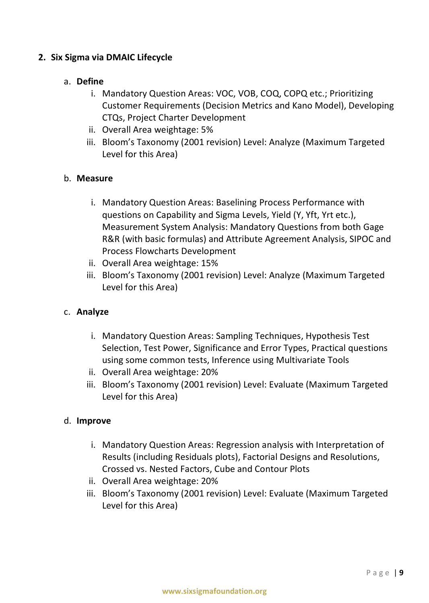#### **2. Six Sigma via DMAIC Lifecycle**

#### a. **Define**

- i. Mandatory Question Areas: VOC, VOB, COQ, COPQ etc.; Prioritizing Customer Requirements (Decision Metrics and Kano Model), Developing CTQs, Project Charter Development
- ii. Overall Area weightage: 5%
- iii. Bloom's Taxonomy (2001 revision) Level: Analyze (Maximum Targeted Level for this Area)

#### b. **Measure**

- i. Mandatory Question Areas: Baselining Process Performance with questions on Capability and Sigma Levels, Yield (Y, Yft, Yrt etc.), Measurement System Analysis: Mandatory Questions from both Gage R&R (with basic formulas) and Attribute Agreement Analysis, SIPOC and Process Flowcharts Development
- ii. Overall Area weightage: 15%
- iii. Bloom's Taxonomy (2001 revision) Level: Analyze (Maximum Targeted Level for this Area)

#### c. **Analyze**

- i. Mandatory Question Areas: Sampling Techniques, Hypothesis Test Selection, Test Power, Significance and Error Types, Practical questions using some common tests, Inference using Multivariate Tools
- ii. Overall Area weightage: 20%
- iii. Bloom's Taxonomy (2001 revision) Level: Evaluate (Maximum Targeted Level for this Area)

#### d. **Improve**

- i. Mandatory Question Areas: Regression analysis with Interpretation of Results (including Residuals plots), Factorial Designs and Resolutions, Crossed vs. Nested Factors, Cube and Contour Plots
- ii. Overall Area weightage: 20%
- iii. Bloom's Taxonomy (2001 revision) Level: Evaluate (Maximum Targeted Level for this Area)